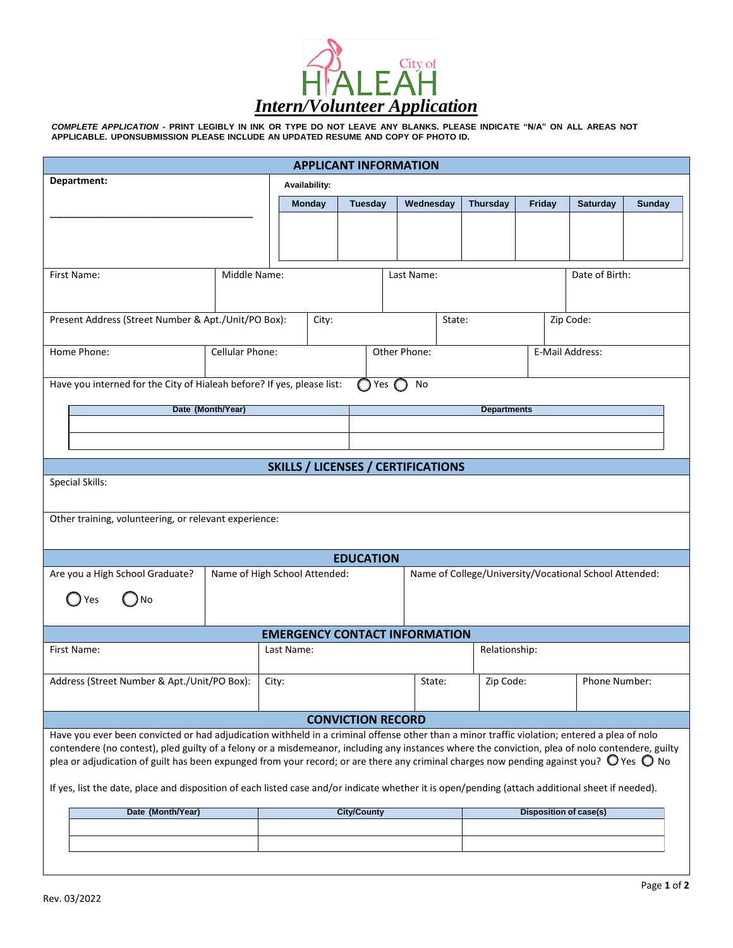

COMPLETE APPLICATION - PRINT LEGIBLY IN INK OR TYPE DO NOT LEAVE ANY BLANKS. PLEASE INDICATE "N/A" ON ALL AREAS NOT **APPLICABLE. UPONSUBMISSION PLEASE INCLUDE AN UPDATED RESUME AND COPY OF PHOTO ID.**

| <b>APPLICANT INFORMATION</b>                                                                                                                                                                                                                                                                                  |                               |       |                    |                |  |                                                        |                               |                    |                 |               |  |
|---------------------------------------------------------------------------------------------------------------------------------------------------------------------------------------------------------------------------------------------------------------------------------------------------------------|-------------------------------|-------|--------------------|----------------|--|--------------------------------------------------------|-------------------------------|--------------------|-----------------|---------------|--|
| Department:                                                                                                                                                                                                                                                                                                   |                               |       | Availability:      |                |  |                                                        |                               |                    |                 |               |  |
|                                                                                                                                                                                                                                                                                                               |                               |       | <b>Monday</b>      | <b>Tuesday</b> |  | Wednesday                                              | <b>Thursday</b>               | Friday             | <b>Saturday</b> | <b>Sunday</b> |  |
|                                                                                                                                                                                                                                                                                                               |                               |       |                    |                |  |                                                        |                               |                    |                 |               |  |
|                                                                                                                                                                                                                                                                                                               |                               |       |                    |                |  |                                                        |                               |                    |                 |               |  |
|                                                                                                                                                                                                                                                                                                               |                               |       |                    |                |  |                                                        |                               |                    |                 |               |  |
| First Name:                                                                                                                                                                                                                                                                                                   | Middle Name:                  |       | Last Name:         |                |  |                                                        | Date of Birth:                |                    |                 |               |  |
|                                                                                                                                                                                                                                                                                                               |                               |       |                    |                |  |                                                        |                               |                    |                 |               |  |
| Present Address (Street Number & Apt./Unit/PO Box):                                                                                                                                                                                                                                                           |                               |       | City:              |                |  | State:                                                 |                               |                    | Zip Code:       |               |  |
|                                                                                                                                                                                                                                                                                                               |                               |       |                    |                |  |                                                        |                               |                    |                 |               |  |
| Home Phone:                                                                                                                                                                                                                                                                                                   | Cellular Phone:               |       | Other Phone:       |                |  | E-Mail Address:                                        |                               |                    |                 |               |  |
|                                                                                                                                                                                                                                                                                                               |                               |       |                    |                |  |                                                        |                               |                    |                 |               |  |
| Have you interned for the City of Hialeah before? If yes, please list:<br>Yes $\Box$<br>No                                                                                                                                                                                                                    |                               |       |                    |                |  |                                                        |                               |                    |                 |               |  |
| Date (Month/Year)                                                                                                                                                                                                                                                                                             |                               |       |                    |                |  |                                                        |                               | <b>Departments</b> |                 |               |  |
|                                                                                                                                                                                                                                                                                                               |                               |       |                    |                |  |                                                        |                               |                    |                 |               |  |
|                                                                                                                                                                                                                                                                                                               |                               |       |                    |                |  |                                                        |                               |                    |                 |               |  |
| <b>SKILLS / LICENSES / CERTIFICATIONS</b>                                                                                                                                                                                                                                                                     |                               |       |                    |                |  |                                                        |                               |                    |                 |               |  |
| <b>Special Skills:</b>                                                                                                                                                                                                                                                                                        |                               |       |                    |                |  |                                                        |                               |                    |                 |               |  |
|                                                                                                                                                                                                                                                                                                               |                               |       |                    |                |  |                                                        |                               |                    |                 |               |  |
| Other training, volunteering, or relevant experience:                                                                                                                                                                                                                                                         |                               |       |                    |                |  |                                                        |                               |                    |                 |               |  |
|                                                                                                                                                                                                                                                                                                               |                               |       |                    |                |  |                                                        |                               |                    |                 |               |  |
| <b>EDUCATION</b>                                                                                                                                                                                                                                                                                              |                               |       |                    |                |  |                                                        |                               |                    |                 |               |  |
| Are you a High School Graduate?                                                                                                                                                                                                                                                                               | Name of High School Attended: |       |                    |                |  | Name of College/University/Vocational School Attended: |                               |                    |                 |               |  |
| No<br>Yes                                                                                                                                                                                                                                                                                                     |                               |       |                    |                |  |                                                        |                               |                    |                 |               |  |
|                                                                                                                                                                                                                                                                                                               |                               |       |                    |                |  |                                                        |                               |                    |                 |               |  |
| <b>EMERGENCY CONTACT INFORMATION</b>                                                                                                                                                                                                                                                                          |                               |       |                    |                |  |                                                        |                               |                    |                 |               |  |
| First Name:                                                                                                                                                                                                                                                                                                   | Last Name:                    |       |                    |                |  |                                                        | Relationship:                 |                    |                 |               |  |
| Address (Street Number & Apt./Unit/PO Box):                                                                                                                                                                                                                                                                   |                               | City: |                    |                |  | State:                                                 | Zip Code:                     |                    | Phone Number:   |               |  |
|                                                                                                                                                                                                                                                                                                               |                               |       |                    |                |  |                                                        |                               |                    |                 |               |  |
| <b>CONVICTION RECORD</b>                                                                                                                                                                                                                                                                                      |                               |       |                    |                |  |                                                        |                               |                    |                 |               |  |
| Have you ever been convicted or had adjudication withheld in a criminal offense other than a minor traffic violation; entered a plea of nolo                                                                                                                                                                  |                               |       |                    |                |  |                                                        |                               |                    |                 |               |  |
| contendere (no contest), pled guilty of a felony or a misdemeanor, including any instances where the conviction, plea of nolo contendere, guilty<br>plea or adjudication of guilt has been expunged from your record; or are there any criminal charges now pending against you? $\bigcirc$ Yes $\bigcirc$ No |                               |       |                    |                |  |                                                        |                               |                    |                 |               |  |
|                                                                                                                                                                                                                                                                                                               |                               |       |                    |                |  |                                                        |                               |                    |                 |               |  |
| If yes, list the date, place and disposition of each listed case and/or indicate whether it is open/pending (attach additional sheet if needed).                                                                                                                                                              |                               |       |                    |                |  |                                                        |                               |                    |                 |               |  |
| Date (Month/Year)                                                                                                                                                                                                                                                                                             |                               |       | <b>City/County</b> |                |  |                                                        | <b>Disposition of case(s)</b> |                    |                 |               |  |
|                                                                                                                                                                                                                                                                                                               |                               |       |                    |                |  |                                                        |                               |                    |                 |               |  |
|                                                                                                                                                                                                                                                                                                               |                               |       |                    |                |  |                                                        |                               |                    |                 |               |  |